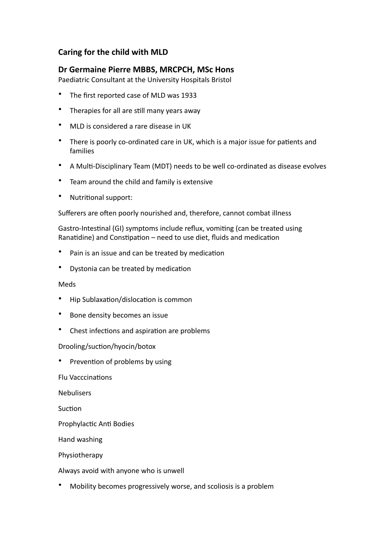## **Caring for the child with MLD**

## Dr Germaine Pierre MBBS, MRCPCH, MSc Hons

Paediatric Consultant at the University Hospitals Bristol

- The first reported case of MLD was 1933
- Therapies for all are still many vears away
- MLD is considered a rare disease in UK
- There is poorly co-ordinated care in UK, which is a major issue for patients and families
- A Multi-Disciplinary Team (MDT) needs to be well co-ordinated as disease evolves
- Team around the child and family is extensive
- Nutritional support:

Sufferers are often poorly nourished and, therefore, cannot combat illness

Gastro-Intestinal (GI) symptoms include reflux, vomiting (can be treated using Ranatidine) and Constipation – need to use diet, fluids and medication

- Pain is an issue and can be treated by medication
- Dystonia can be treated by medication

## Meds

- Hip Sublaxation/dislocation is common
- Bone density becomes an issue
- Chest infections and aspiration are problems

## Drooling/suction/hyocin/botox

Prevention of problems by using

Flu Vacccinations

**Nebulisers** 

Suction

Prophylactic Anti Bodies

Hand washing 

Physiotherapy 

Always avoid with anyone who is unwell

Mobility becomes progressively worse, and scoliosis is a problem